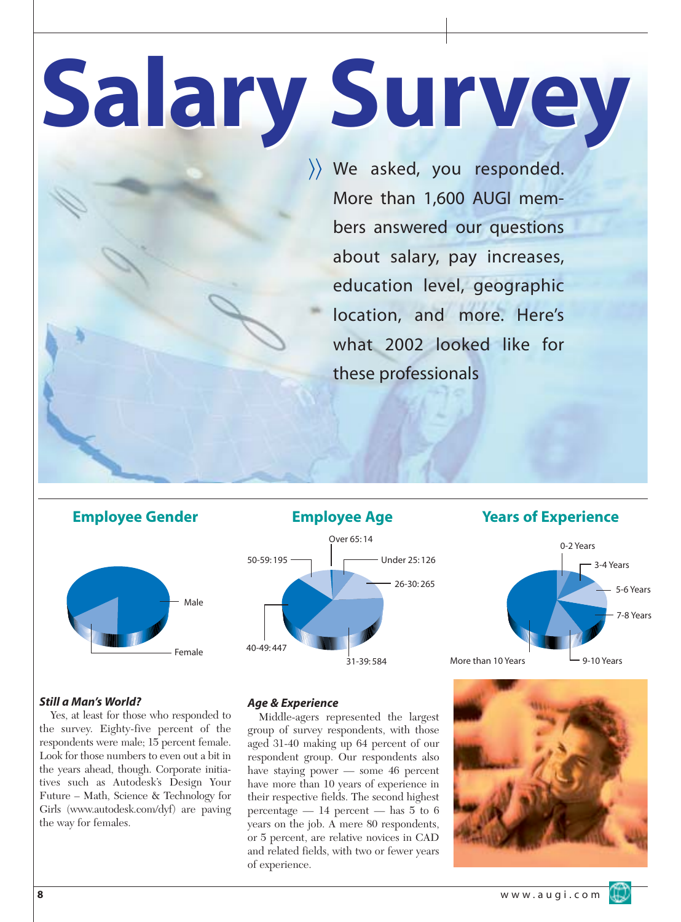# **Salary Survey Salary Survey**

〉〉 We asked, you responded. More than 1,600 AUGI members answered our questions about salary, pay increases, education level, geographic location, and more. Here's what 2002 looked like for these professionals



*Still a Man's World?*

Yes, at least for those who responded to the survey. Eighty-five percent of the respondents were male; 15 percent female. Look for those numbers to even out a bit in the years ahead, though. Corporate initiatives such as Autodesk's Design Your Future – Math, Science & Technology for Girls (www.autodesk.com/dyf) are paving the way for females.





*Age & Experience*

Middle-agers represented the largest group of survey respondents, with those aged 31-40 making up 64 percent of our respondent group. Our respondents also have staying power — some 46 percent have more than 10 years of experience in their respective fields. The second highest percentage  $-14$  percent  $-$  has 5 to 6 years on the job. A mere 80 respondents, or 5 percent, are relative novices in CAD and related fields, with two or fewer years of experience.



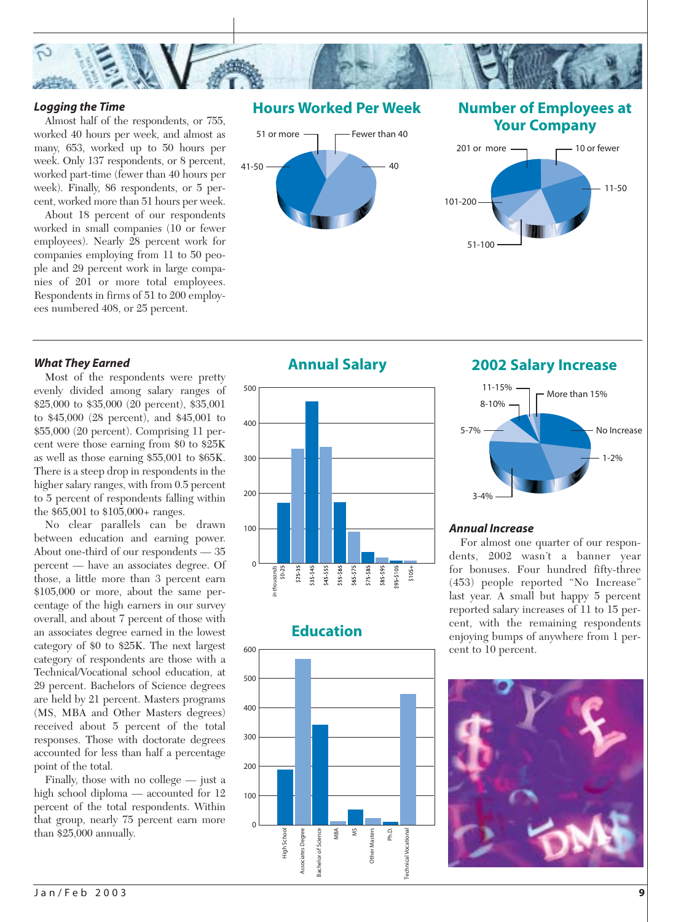

#### *Logging the Time*

Almost half of the respondents, or 755, worked 40 hours per week, and almost as many, 653, worked up to 50 hours per week. Only 137 respondents, or 8 percent, worked part-time (fewer than 40 hours per week). Finally, 86 respondents, or 5 percent, worked more than 51 hours per week.

About 18 percent of our respondents worked in small companies (10 or fewer employees). Nearly 28 percent work for companies employing from 11 to 50 people and 29 percent work in large companies of 201 or more total employees. Respondents in firms of 51 to 200 employees numbered 408, or 25 percent.

#### *What They Earned*

Most of the respondents were pretty evenly divided among salary ranges of \$25,000 to \$35,000 (20 percent), \$35,001 to \$45,000 (28 percent), and \$45,001 to \$55,000 (20 percent). Comprising 11 percent were those earning from \$0 to \$25K as well as those earning \$55,001 to \$65K. There is a steep drop in respondents in the higher salary ranges, with from 0.5 percent to 5 percent of respondents falling within the \$65,001 to \$105,000+ ranges.

No clear parallels can be drawn between education and earning power. About one-third of our respondents — 35 percent — have an associates degree. Of those, a little more than 3 percent earn \$105,000 or more, about the same percentage of the high earners in our survey overall, and about 7 percent of those with an associates degree earned in the lowest category of \$0 to \$25K. The next largest category of respondents are those with a Technical/Vocational school education, at 29 percent. Bachelors of Science degrees are held by 21 percent. Masters programs (MS, MBA and Other Masters degrees) received about 5 percent of the total responses. Those with doctorate degrees accounted for less than half a percentage point of the total.

Finally, those with no college — just a high school diploma — accounted for 12 percent of the total respondents. Within that group, nearly 75 percent earn more than \$25,000 annually.



# Fewer than 40  $41-50 \rightarrow 40$ 51 or more

## **Number of Employees at Your Company**





# **Education**



# **Annual Salary 2002 Salary Increase**



#### *Annual Increase*

For almost one quarter of our respondents, 2002 wasn't a banner year for bonuses. Four hundred fifty-three (453) people reported "No Increase" last year. A small but happy 5 percent reported salary increases of 11 to 15 percent, with the remaining respondents enjoying bumps of anywhere from 1 percent to 10 percent.